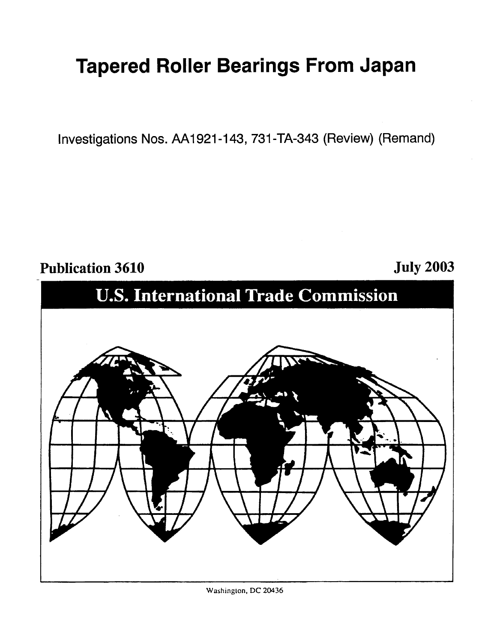# **Tapered Roller Bearings From Japan**

Investigations Nos. AA1921-143, 731 -TA-343 (Review) (Remand)

### **Publication 3610 July 2003**



**Washingion, DC** 20436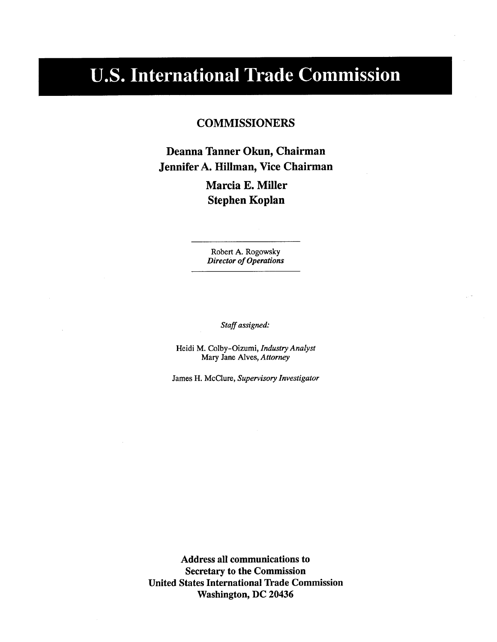## **U.S. International Trade Commission**

### **COMMISSIONERS**

**Deanna Tanner Okun, Chairman Jennifer A. Hillman, Vice Chairman** 

> **Marcia E. Miller Stephen Koplan**

**Robert A. Rogowsky**  *Director of Operations* 

*Staff assigned:* 

**Heidi M. Colby-Oizumi,** *Industry Analyst*  **Mary Jane Alves,** *Attorney* 

**James H. McClure,** *Supervisory Investigator* 

**Address all communications to Secretary to the Commission United States International Trade Commission Washington, DC 20436**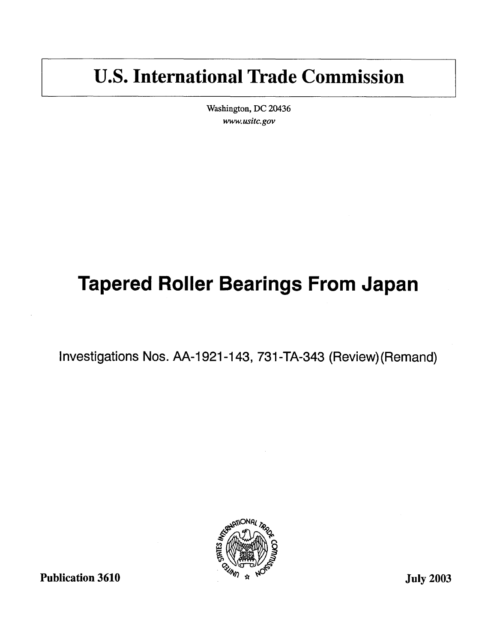## **U.S. International Trade Commission**

**Washington, DC 20436**  www. *usitc.gov* 

# **Tapered Roller Bearings From Japan**

Investigations Nos. AA-1921-143, 731 -TA-343 (Review)(Remand)

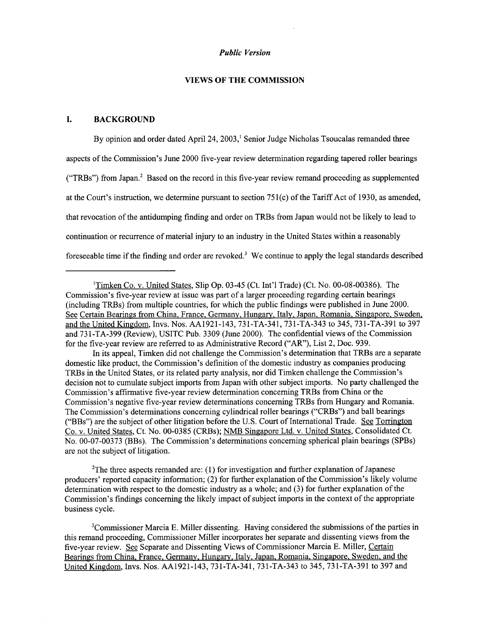#### **VIEWS OF THE COMMISSION**

#### **I. BACKGROUND**

By opinion and order dated April 24,2003,' Senior Judge Nicholas Tsoucalas remanded three aspects of the Commission's June 2000 five-year review determination regarding tapered roller bearings ("TRBs") from Japan.<sup>2</sup> Based on the record in this five-year review remand proceeding as supplemented at the Court's instruction, we determine pursuant to section  $751(c)$  of the Tariff Act of 1930, as amended, that revocation of the antidumping finding and order on TRBs from Japan would not be likely to lead to continuation or recurrence of material injury to an industry in the United States within a reasonably foreseeable time if the finding and order are revoked.' We continue to apply the legal standards described

domestic like product, the Commission's definition of the domestic industry as companies producing TRBs in the United States, or its related party analysis, nor did Timken challenge the Commission's decision not to cumulate subject imports from Japan with other subject imports. No party challenged the Commission's affirmative five-year review determination concerning TRBs from China or the Commission's negative five-year review determinations concerning TRBs from Hungary and Romania. The Commission's determinations concerning cylindrical roller bearings ("CRBs") and ball bearings ("BBs") are the subject of other litigation before the U.S. Court of International Trade. See Torrington Co. v. United States, Ct. No. 00-0385 (CRBs); NMB Singapore Ltd. v. United States, Consolidated Ct. No. 00-07-00373 (BBs). The Commission's determinations concerning spherical plain bearings (SPBs) are not the subject of litigation. In its appeal, Timken did not challenge the Commission's determination that TRBs are a separate

'The three aspects remanded are: (1) for investigation and further explanation of Japanese producers' reported capacity information; (2) for further explanation of the Commission's likely volume determination with respect to the domestic industry as a whole; and (3) for further explanation of the Commission's findings concerning the likely impact of subject imports in the context of the appropriate business cycle.

'Commissioner Marcia E. Miller dissenting. Having considered the submissions of the parties in this remand proceeding, Commissioner Miller incorporates her separate and dissenting views from the five-year review. *See* Separate and Dissenting Views of Commissioner Marcia E. Miller, Certain Bearings from China, France, Germany. Hungary. Italy. Japan. Romania. Singapore, Sweden. and the United Kingdom, Invs. Nos. **AA1921-143,731-TA-341,731-TA-343** to 345,731-TA-391 to 397 and

<sup>&#</sup>x27;Timken Co. v. United States, Slip Op. 03-45 (Ct. Int'l Trade) (Ct. No. 00-08-00386). The Commission's five-year review at issue was part of a larger proceeding regarding certain bearings (including TRBs) from multiple countries, for which the public findings were published in June 2000. See Certain Bearings from China, France, Germany, Hungary. Italy, Japan. Romania, Singapore. Sweden, and the United Kingdom, Invs. Nos. AA1921-143,731-TA-341,731-TA-343 to 345,731-TA-391 to 397 and 731-TA-399 (Review), USITC Pub. 3309 (June 2000). The confidential views of the Commission for the five-year review are referred to as Administrative Record ("AR'), List 2, Doc. 939.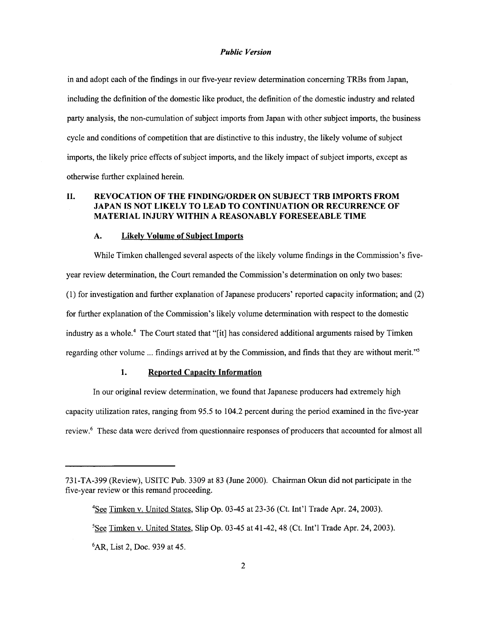in and adopt each of the findings in our five-year review determination concerning TRBs from Japan, including the definition of the domestic like product, the definition of the domestic industry and related party analysis, the non-cumulation of subject imports from Japan with other subject imports, the business cycle and conditions of competition that are distinctive to this industry, the likely volume of subject imports, the likely price effects of subject imports, and the likely impact of subject imports, except as otherwise further explained herein.

#### **11. REVOCATION OF THE FINDING/ORDER ON SUBJECT TRB IMPORTS FROM JAPAN IS NOT LIKELY TO LEAD TO CONTINUATION OR RECURRENCE OF MATERIAL INJURY WITHIN A REASONABLY FORESEEABLE TIME**

#### **A. Likely Volume of Subiect Imports**

While Timken challenged several aspects of the likely volume findings in the Commission's fiveyear review determination, the Court remanded the Commission's determination on only two bases: (1) for investigation and further explanation of Japanese producers' reported capacity information; and (2) for further explanation of the Commission's likely volume determination with respect to the domestic industry as a whole.<sup>4</sup> The Court stated that "[it] has considered additional arguments raised by Timken regarding other volume ... findings arrived at by the Commission, and finds that they are without merit."'

#### **1. Reported Capacitv Information**

In our original review determination, we found that Japanese producers had extremely high capacity utilization rates, ranging from 95.5 to 104.2 percent during the period examined in the five-year review.6 These data were derived from questionnaire responses of producers that accounted for almost all

4See Timken v. United States, Slip Op. 03-45 at 23-36 (Ct. Int'l Trade Apr. 24,2003).  ${}^{5}$ See Timken v. United States, Slip Op. 03-45 at 41-42, 48 (Ct. Int'l Trade Apr. 24, 2003). 6AR, List 2, Doc. 939 at 45.

<sup>731-</sup>TA-399 (Review), USITC Pub. 3309 at 83 (June 2000). Chairman Okun did not participate in the five-year review or this remand proceeding.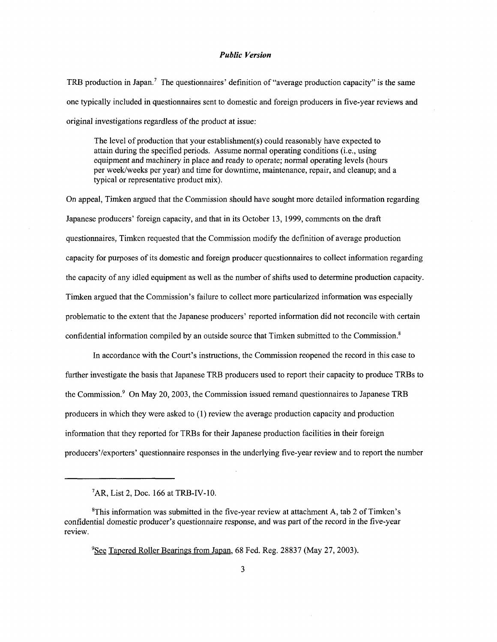TRB production in Japan.' The questionnaires' definition of "average production capacity" is the same one typically included in questionnaires sent to domestic and foreign producers in five-year reviews and original investigations regardless of the product at issue:

The level of production that your establishment(s) could reasonably have expected to attain during the specified periods. Assume normal operating conditions (i.e., using equipment and machinery in place and ready to operate; normal operating levels (hours per weeklweeks per year) and time for downtime, maintenance, repair, and cleanup; and a typical or representative product mix).

On appeal, Timken argued that the Commission should have sought more detailed information regarding Japanese producers' foreign capacity, and that in its October 13, 1999, comments on the draft questionnaires, Timken requested that the Commission modify the definition of average production capacity for purposes of its domestic and foreign producer questionnaires to collect information regarding the capacity of any idled equipment as well as the number of shifts used to determine production capacity. Timken argued that the Commission's failure to collect more particularized information was especially problematic to the extent that the Japanese producers' reported information did not reconcile with certain confidential information compiled by an outside source that Timken submitted to the Commission.'

In accordance with the Court's instructions, the Commission reopened the record in this case to further investigate the basis that Japanese TRB producers used to report their capacity to produce TRBs to the Commission.<sup>9</sup> On May 20, 2003, the Commission issued remand questionnaires to Japanese TRB producers in which they were asked to (1) review the average production capacity and production information that they reported for TRBs for their Japanese production facilities in their foreign producers'/exporters' questionnaire responses in the underlying five-year review and to report the number

 ${}^{7}$ AR, List 2, Doc. 166 at TRB-IV-10.

<sup>8</sup>This information was submitted in the five-year review at attachment **A,** tab 2 of Timken's confidential domestic producer's questionnaire response, and was part of the record in the five-year review.

<sup>&</sup>lt;sup>9</sup>See Tapered Roller Bearings from Japan, 68 Fed. Reg. 28837 (May 27, 2003).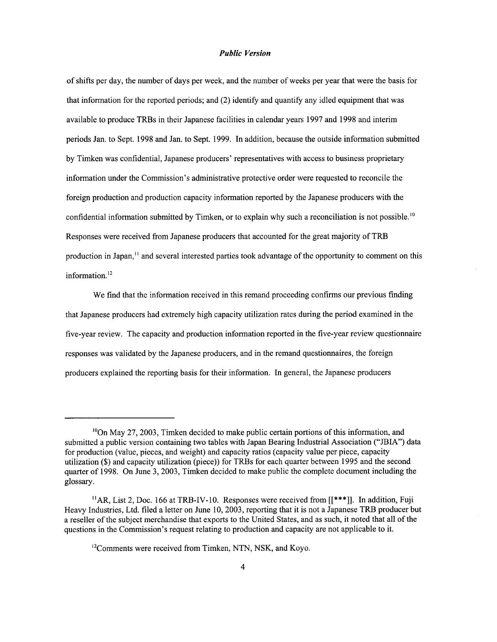of shifts per day, the number of days per week, and the number of weeks per year that were the basis for that information for the reported periods; and (2) identify and quantify any idled equipment that was available to produce TRBs in their Japanese facilities in calendar years 1997 and 1998 and interim periods Jan. to Sept. 1998 and Jan. to Sept. 1999. **In** addition, because the outside information submitted by Timken was confidential, Japanese producers' representatives with access to business proprietary information under the Commission's administrative protective order were requested to reconcile the foreign production and production capacity information reported by the Japanese producers with the confidential information submitted by Timken, or to explain why such a reconciliation is not possible.<sup>10</sup> Responses were received from Japanese producers that accounted for the great majority of TRB production in Japan,<sup>11</sup> and several interested parties took advantage of the opportunity to comment on this information.<sup>12</sup>

We find that the information received in this remand proceeding confirms our previous finding that Japanese producers had extremely high capacity utilization rates during the period examined in the five-year review. The capacity and production information reported in the five-year review questionnaire responses was validated by the Japanese producers, and in the remand questionnaires, the foreign producers explained the reporting basis for their information. In general, the Japanese producers

 $^{10}$ On May 27, 2003, Timken decided to make public certain portions of this information, and submitted a public version containing two tables with Japan Bearing Industrial Association ("JBIA") data for production (value, pieces, and weight) and capacity ratios (capacity value per piece, capacity utilization (\$) and capacity utilization (piece)) for TRBs for each quarter between 1995 and the second quarter of 1998. On June 3,2003, Timken decided to make public the complete document including the glossary.

<sup>&</sup>quot;AR, List 2, Doc. 166 at TRB-IV-10. Responses were received from **[[\*\*\*I]. In** addition, Fuji Heavy Industries, Ltd. filed a letter on June 10,2003, reporting that it is not a Japanese **TRB** producer but a reseller of the subject merchandise that exports to the United States, and as such, it noted that all of the questions in the Commission's request relating to production and capacity are not applicable to it.

<sup>&</sup>lt;sup>12</sup>Comments were received from Timken, NTN, NSK, and Koyo.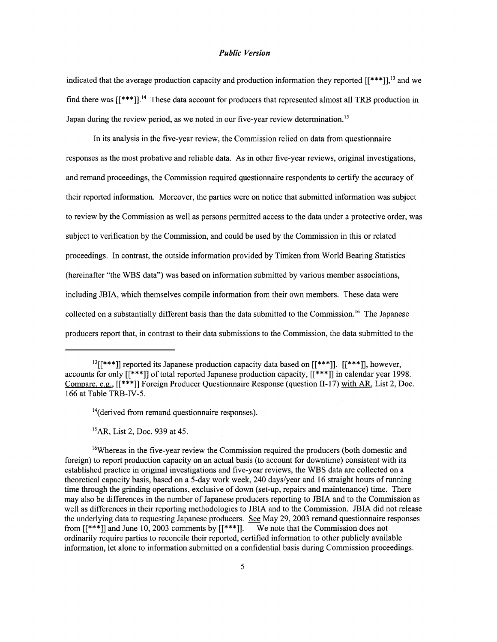indicated that the average production capacity and production information they reported  $[[***]]$ ,<sup>13</sup> and we find there was  $[[***]]$ .<sup>14</sup> These data account for producers that represented almost all TRB production in Japan during the review period, as we noted in our five-year review determination.<sup>15</sup>

**In** its analysis in the five-year review, the Commission relied on data from questionnaire responses as the most probative and reliable data. As in other five-year reviews, original investigations, and remand proceedings, the Commission required questionnaire respondents to certify the accuracy of their reported information. Moreover, the parties were on notice that submitted information was subject to review by the Commission as well as persons permitted access to the data under a protective order, was subject to verification by the Commission, and could be used by the Commission in this or related proceedings. **In** contrast, the outside information provided by Timken from World Bearing Statistics (hereinafter "the WBS data") was based on information submitted by various member associations, including JBIA, which themselves compile information from their own members. These data were collected on a substantially different basis than the data submitted to the Commission.<sup>16</sup> The Japanese producers report that, in contrast to their data submissions to the Commission, the data submitted to the

 ${}^{15}AR$ , List 2, Doc. 939 at 45.

<sup>16</sup>Whereas in the five-year review the Commission required the producers (both domestic and foreign) to report production capacity on an actual basis (to account for downtime) consistent with its established practice in original investigations and five-year reviews, the **WBS** data are collected on a theoretical capacity basis, based on a 5-day work week, 240 days/year and 16 straight hours of running time through the grinding operations, exclusive of down (set-up, repairs and maintenance) time. There may also be differences in the number of Japanese producers reporting to JBIA and to the Commission as well as differences in their reporting methodologies to JBIA and to the Commission. JBIA did not release the underlying data to requesting Japanese producers. *See* May 29,2003 remand questionnaire responses from [[\*\*\*]] and June 10, 2003 comments by [[\*\*\*]]. We note that the Commission does not ordinarily require parties to reconcile their reported, certified information to other publicly available information, let alone to information submitted on a confidential basis during Commission proceedings.

 $^{13}$ [[\*\*\*]] reported its Japanese production capacity data based on [[\*\*\*]]. [[\*\*\*]], however, accounts for only  $[[***]]$  of total reported Japanese production capacity,  $[[***]]$  in calendar year 1998. Compare, e.g., [[\*\*\*I] Foreign Producer Questionnaire Response (question 11-17) with AR, List 2, Doc. 166 at Table TRB-IV-5.

<sup>&</sup>lt;sup>14</sup>(derived from remand questionnaire responses).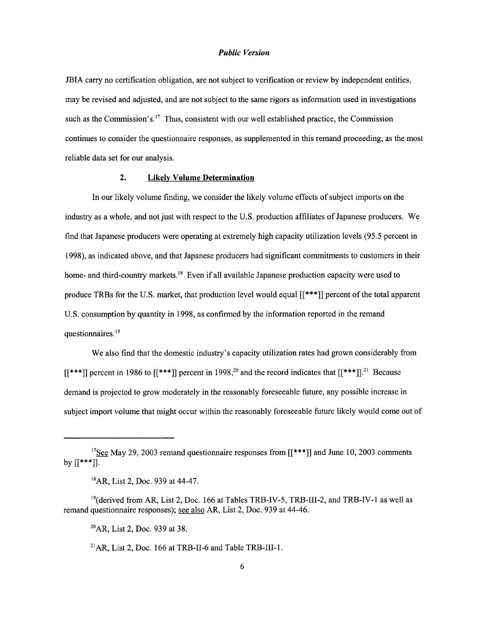JBIA carry no certification obligation, are not subject to verification or review by independent entities, may be revised and adjusted, and are not subject to the same rigors as information used in investigations such as the Commission's.<sup>17</sup> Thus, consistent with our well established practice, the Commission continues to consider the questionnaire responses, as supplemented in this remand proceeding, as the most reliable data set for our analysis.

#### **2. Likely Volume Determination**

In our likely volume finding, we consider the likely volume effects of subject imports on the industry as a whole, and not just with respect to the U.S. production affiliates of Japanese producers. We find that Japanese producers were operating at extremely high capacity utilization levels (95.5 percent in 1998), as indicated above, and that Japanese producers had significant commitments to customers in their home- and third-country markets.<sup>18</sup> Even if all available Japanese production capacity were used to produce TRBs for the U.S. market, that production level would equal [[\*\*\*I] percent of the total apparent U.S. consumption by quantity in 1998, as confirmed by the information reported in the remand questionnaires.<sup>19</sup>

We also find that the domestic industry's capacity utilization rates had grown considerably from  $[[***]]$  percent in 1986 to  $[[***]]$  percent in 1998<sup>10</sup> and the record indicates that  $[[***]]$ <sup>1</sup> Because demand is projected to grow moderately in the reasonably foreseeable future, any possible increase in subject import volume that might occur within the reasonably foreseeable future likely would come out of

<sup>&</sup>lt;sup>17</sup>See May 29, 2003 remand questionnaire responses from  $[[***]]$  and June 10, 2003 comments by  $[[***]]$ .

<sup>&</sup>lt;sup>18</sup>AR, List 2, Doc. 939 at 44-47.

<sup>&</sup>lt;sup>19</sup>(derived from AR, List 2, Doc. 166 at Tables TRB-IV-5, TRB-III-2, and TRB-IV-1 as well as remand questionnaire responses); see also AR, List 2, Doc. 939 at 44-46.

*<sup>2</sup>oAR,* List 2, Doc. 939 at 38.

 $^{21}AR$ , List 2, Doc. 166 at TRB-II-6 and Table TRB-III-1.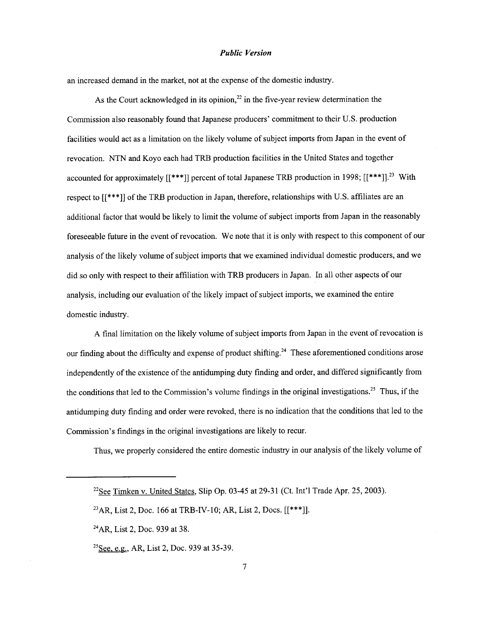an increased demand in the market, not at the expense of the domestic industry.

As the Court acknowledged in its opinion,<sup>22</sup> in the five-year review determination the Commission also reasonably found that Japanese producers' commitment to their U.S. production facilities would act as a limitation on the likely volume of subject imports from Japan in the event of revocation. NTN and Koyo each had TRB production facilities in the United States and together accounted for approximately [[\*\*\*]] percent of total Japanese TRB production in 1998; [[\*\*\*]].<sup>23</sup> With respect to  $[[***]]$  of the TRB production in Japan, therefore, relationships with U.S. affiliates are an additional factor that would be likely to limit the volume of subject imports from Japan in the reasonably foreseeable future in the event of revocation. We note that it is only with respect to this component of our analysis of the likely volume of subject imports that we examined individual domestic producers, and we did so only with respect to their affiliation with TRB producers in Japan. In all other aspects of our analysis, including our evaluation of the likely impact *of* subject imports, we examined the entire domestic industry.

**A** final limitation on the likely volume of subject imports from Japan in the event of revocation is our finding about the difficulty and expense of product shifting.<sup>24</sup> These aforementioned conditions arose independently of the existence of the antidumping duty finding and order, and differed significantly from the conditions that led to the Commission's volume findings in the original investigations.<sup>25</sup> Thus, if the antidumping duty finding and order were revoked, there is no indication that the conditions that led to the Commission's findings in the original investigations are likely to recur.

Thus, we properly considered the entire domestic industry in our analysis of the likely volume of

<sup>&</sup>lt;sup>22</sup>See Timken v. United States, Slip Op. 03-45 at 29-31 (Ct. Int'l Trade Apr. 25, 2003).

<sup>&</sup>lt;sup>23</sup>AR, List 2, Doc. 166 at TRB-IV-10; AR, List 2, Docs.  $[[***]]$ .

**<sup>24</sup>AR,** List 2, Doc. 939 at 38.

<sup>&</sup>lt;sup>25</sup>See, e.g., AR, List 2, Doc. 939 at 35-39.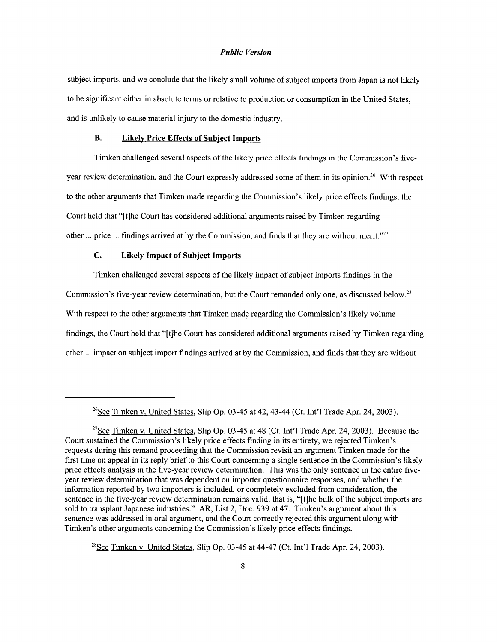subject imports, and we conclude that the likely small volume of subject imports from Japan is not likely to be significant either in absolute terms or relative to production or consumption in the United States, and is unlikely to cause material injury to the domestic industry.

#### **B. Likelv Price Effects of Subiect Imports**

Timken challenged several aspects of the likely price effects findings in the Commission's fiveyear review determination, and the Court expressly addressed some of them in its opinion.<sup>26</sup> With respect to the other arguments that Timken made regarding the Commission's likely price effects findings, the Court held that "[tlhe Court has considered additional arguments raised by Timken regarding other ... price ... findings arrived at by the Commission, and finds that they are without merit."<sup>27</sup>

#### **C. Likelv Impact of Subiect Imports**

Timken challenged several aspects of the likely impact of subject imports findings in the Commission's five-year review determination, but the Court remanded only one, as discussed below.<sup>28</sup> With respect to the other arguments that Timken made regarding the Commission's likely volume findings, the Court held that "[tlhe Court has considered additional arguments raised by Timken regarding other ... impact on subject import findings arrived at by the Commission, and finds that they are without

<sup>&</sup>lt;sup>26</sup>See Timken v. United States, Slip Op. 03-45 at 42, 43-44 (Ct. Int'l Trade Apr. 24, 2003).

**<sup>27</sup>See** Timken v. United States, Slip Op. 03-45 at 48 (Ct. Int'l Trade Apr. 24,2003). Because the Court sustained the Commission's likely price effects finding in its entirety, we rejected Timken's requests during this remand proceeding that the Commission revisit an argument Timken made for the first time on appeal in its reply brief to this Court concerning a single sentence in the Commission's likely price effects analysis in the five-year review determination. This was the only sentence in the entire fiveyear review determination that was dependent on importer questionnaire responses, and whether the information reported by two importers is included, or completely excluded from consideration, the sentence in the five-year review determination remains valid, that is, "[tlhe bulk of the subject imports are sold to transplant Japanese industries." AR, List 2, Doc. 939 at 47. Timken's argument about this sentence was addressed in oral argument, and the Court correctly rejected this argument along with Timken's other arguments concerning the Commission's likely price effects findings.

 $^{28}$ See Timken v. United States, Slip Op. 03-45 at 44-47 (Ct. Int'l Trade Apr. 24, 2003).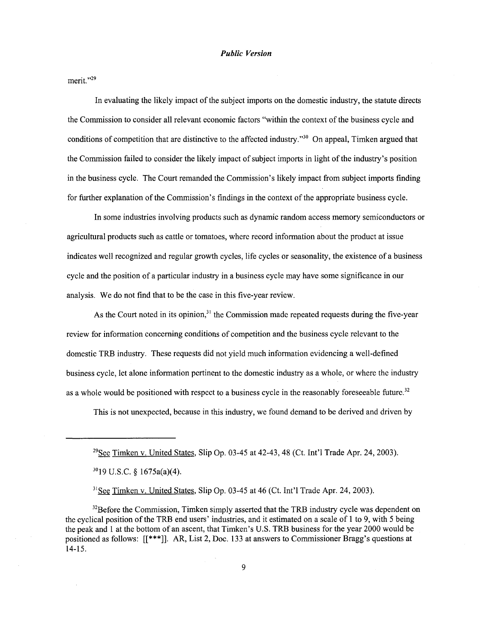merit."<sup>29</sup>

**In** evaluating the likely impact of the subject imports on the domestic industry, the statute directs the Commission to consider all relevant economic factors "within the context of the business cycle and conditions of competition that are distinctive to the affected industry."  $^{30}$  On appeal, Timken argued that the Commission failed to consider the likely impact of subject imports in light of the industry's position in the business cycle. The Court remanded the Commission's likely impact from subject imports finding for further explanation of the Commission's findings in the context of the appropriate business cycle.

**In** some industries involving products such as dynamic random access memory semiconductors or agricultural products such as cattle or tomatoes, where record information about the product at issue indicates well recognized and regular growth cycles, life cycles or seasonality, the existence of a business cycle and the position of a particular industry in a business cycle may have some significance in our analysis. We do not find that to be the case in this five-year review.

As the Court noted in its opinion.<sup>31</sup> the Commission made repeated requests during the five-year review for information concerning conditions of competition and the business cycle relevant to the domestic TRB industry. These requests did not yield much information evidencing a well-defined business cycle, let alone information pertinent to the domestic industry as a whole, or where the industry as a whole would be positioned with respect to a business cycle in the reasonably foreseeable future.<sup>32</sup>

This is not unexpected, because in this industry, we found demand to be derived and driven by

<sup>31</sup>See Timken v. United States, Slip Op. 03-45 at 46 (Ct. Int'l Trade Apr. 24, 2003).

 $32$ Before the Commission, Timken simply asserted that the TRB industry cycle was dependent on the cyclical position *of* the TRB end users' industries, and it estimated on a scale of 1 to 9, with 5 being the peak and 1 at the bottom of an ascent, that Timken's U.S. TRB business for the year 2000 would be positioned as follows: **[[\*\*\*]I.** AR, List 2, Doc. 133 at answers to Commissioner Bragg's questions at 14-15.

**<sup>29&</sup>amp;** Timken v. United States, Slip Op. 03-45 at 42-43,48 (Ct. Int'l Trade Apr. 24,2003).

<sup>&</sup>quot;19 U.S.C. **9** 1675a(a)(4).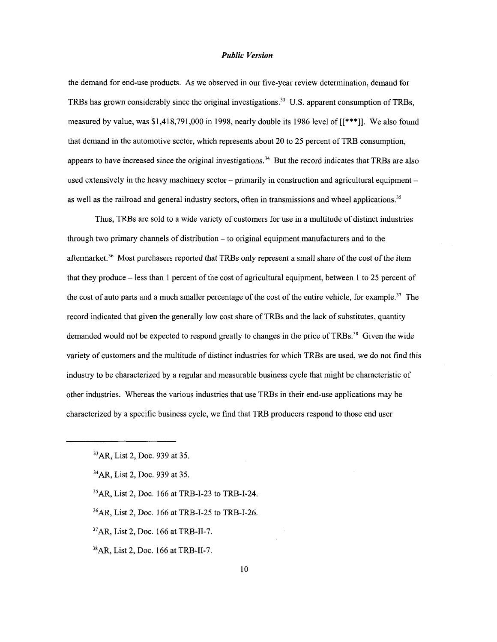the demand for end-use products. **As** we observed in our five-year review determination, demand for TRBs has grown considerably since the original investigations.<sup>33</sup> U.S. apparent consumption of TRBs, measured by value, was \$1,418,791,000 in 1998, nearly double its 1986 level of **[[\*\*\*I].** We also found that demand in the automotive sector, which represents about 20 to 25 percent of TRB consumption, appears to have increased since the original investigations.<sup>34</sup> But the record indicates that TRBs are also used extensively in the heavy machinery sector  $-$  primarily in construction and agricultural equipment  $$ as well as the railroad and general industry sectors, often in transmissions and wheel applications.<sup>35</sup>

Thus, TRBs are sold to a wide variety of customers for use in a multitude of distinct industries through two primary channels of distribution  $-$  to original equipment manufacturers and to the aftermarket.36 Most purchasers reported that TRBs only represent a small share of the cost of the *item*  that they produce - less than 1 percent of the cost of agricultural equipment, between 1 to 25 percent of the cost of auto parts and a much smaller percentage of the cost of the entire vehicle, for example.<sup>37</sup> The record indicated that given the generally low cost share of TRBs and the lack of substitutes, quantity demanded would not be expected to respond greatly to changes in the price of TRBs.<sup>38</sup> Given the wide variety of customers and the multitude of distinct industries for which TRBs are used, we do not find this industry to be characterized by a regular and measurable business cycle that might be characteristic of other industries. Whereas the various industries that use TRBs in their end-use applications may be characterized by a specific business cycle, we find that TRB producers respond to those end user

**3sAR,** List 2, Doc. 166 at TRB-1-23 to TRB-1-24.

**36AR,** List 2, Doc. 166 at TRB-1-25 to TRB-1-26.

**"AR,** List 2, Doc. 166 at TRB-11-7.

**"AR,** List 2, Doc. 166 at TRB-11-7.

**<sup>33</sup>AR,** List 2, Doc. 939 at 35.

**<sup>34</sup>AR,** List 2, Doc. 939 at 35.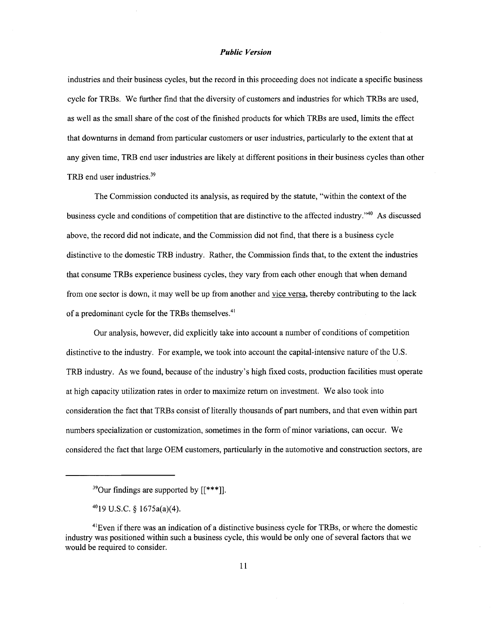industries and their business cycles, but the record in this proceeding does not indicate a specific business cycle for TRBs. We further find that the diversity of customers and industries for which TRBs are used, as well as the small share of the cost of the finished products for which TRBs are used, limits the effect that downturns in demand from particular customers or user industries, particularly to the extent that at any given time, **TRB** end user industries are likely at different positions in their business cycles than other  $TRB$  end user industries.<sup>39</sup>

The Commission conducted its analysis, as required by the statute, "within the context of the business cycle and conditions of competition that are distinctive to the affected industry."40 As discussed above, the record did not indicate, and the Commission did not find, that there is a business cycle distinctive to the domestic **TRB** industry. Rather, the Commission finds that, to the extent the industries that consume TRBs experience business cycles, they vary from each other enough that when demand from one sector is down, it may well be up from another and vice versa, thereby contributing to the lack of a predominant cycle for the TRBs themselves. $41$ 

Our analysis, however, did explicitly take into account a number of conditions of competition distinctive to the industry. For example, we took into account the capital-intensive nature of the U.S. **TRB** industry. As we found, because of the industry's high fixed costs, production facilities must operate at high capacity utilization rates in order to maximize return on investment. We also took into consideration the fact that TRBs consist of literally thousands of part numbers, and that even within part numbers specialization or customization, sometimes in the form of minor variations, can occur. We considered the fact that large OEM customers, particularly in the automotive and construction sectors, are

<sup>&</sup>lt;sup>39</sup>Our findings are supported by [[\*\*\*]].

**<sup>4019</sup>** U.S.C. Q 1675a(a)(4).

<sup>&</sup>lt;sup>41</sup>Even if there was an indication of a distinctive business cycle for TRBs, or where the domestic industry was positioned within such a business cycle, this would be only one of several factors that we would be required to consider.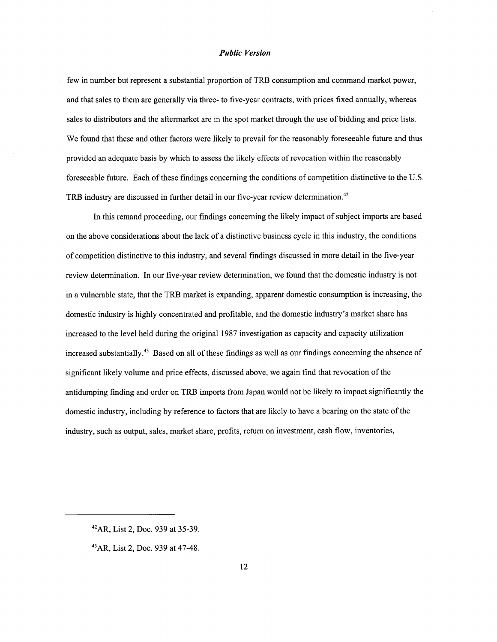few in number but represent a substantial proportion of TRB consumption and command market power, and that sales to them are generally via three- to five-year contracts, with prices fixed annually, whereas sales to distributors and the aftermarket are in the spot market through the use of bidding and price lists. We found that these and other factors were likely to prevail for the reasonably foreseeable future and thus provided an adequate basis by which to assess the likely effects of revocation within the reasonably foreseeable future. Each of these findings concerning the conditions of competition distinctive to the U.S. TRB industry are discussed in further detail in our five-year review determination.<sup>42</sup>

In this remand proceeding, our findings concerning the likely impact of subject imports are based on the above considerations about the lack of a distinctive business cycle in this industry, the conditions of competition distinctive to this industry, and several findings discussed in more detail in the five-year review determination. In our five-year review determination, we found that the domestic industry is not in a vulnerable state, that the **TRB** market is expanding, apparent domestic consumption is increasing, the domestic industry is highly concentrated and profitable, and the domestic industry's market share has increased to the level held during the original 1987 investigation as capacity and capacity utilization increased substantially.<sup>43</sup> Based on all of these findings as well as our findings concerning the absence of significant likely volume and price effects, discussed above, we again find that revocation of the antidumping finding and order on TRB imports from Japan would not be likely to impact significantly the domestic industry, including by reference to factors that are likely to have a bearing on the state of the industry, such as output, sales, market share, profits, return on investment, cash flow, inventories,

**<sup>42</sup>AR,** List 2, Doc. 939 at 35-39.

**<sup>43</sup>AR,** List 2, Doc. 939 at 47-48.